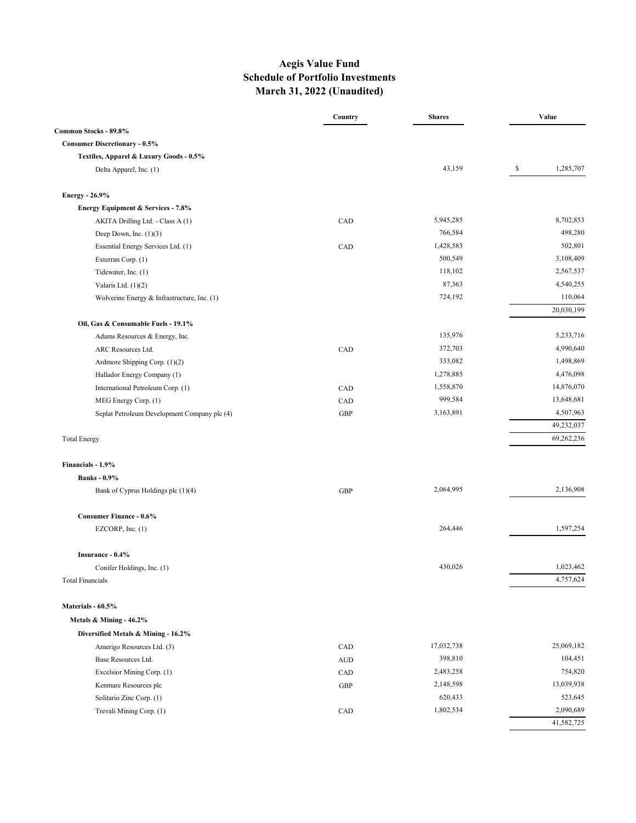# **Aegis Value Fund Schedule of Portfolio Investments March 31, 2022 (Unaudited)**

|                                              | Country    | <b>Shares</b> | Value |            |  |
|----------------------------------------------|------------|---------------|-------|------------|--|
| Common Stocks - 89.8%                        |            |               |       |            |  |
| <b>Consumer Discretionary - 0.5%</b>         |            |               |       |            |  |
| Textiles, Apparel & Luxury Goods - 0.5%      |            |               |       |            |  |
| Delta Apparel, Inc. (1)                      |            | 43,159        | S     | 1,285,707  |  |
| <b>Energy - 26.9%</b>                        |            |               |       |            |  |
| Energy Equipment & Services - 7.8%           |            |               |       |            |  |
| AKITA Drilling Ltd. - Class A (1)            | CAD        | 5,945,285     |       | 8,702,853  |  |
| Deep Down, Inc. $(1)(3)$                     |            | 766,584       |       | 498,280    |  |
| Essential Energy Services Ltd. (1)           | CAD        | 1,428,583     |       | 502,801    |  |
| Exterran Corp. (1)                           |            | 500,549       |       | 3,108,409  |  |
| Tidewater, Inc. (1)                          |            | 118,102       |       | 2,567,537  |  |
| Valaris Ltd. $(1)(2)$                        |            | 87,363        |       | 4,540,255  |  |
| Wolverine Energy & Infrastructure, Inc. (1)  |            | 724,192       |       | 110,064    |  |
|                                              |            |               |       | 20,030,199 |  |
| Oil, Gas & Consumable Fuels - 19.1%          |            |               |       |            |  |
| Adams Resources & Energy, Inc.               |            | 135,976       |       | 5,233,716  |  |
| ARC Resources Ltd.                           | CAD        | 372,703       |       | 4,990,640  |  |
| Ardmore Shipping Corp. (1)(2)                |            | 333,082       |       | 1,498,869  |  |
| Hallador Energy Company (1)                  |            | 1,278,885     |       | 4,476,098  |  |
| International Petroleum Corp. (1)            | CAD        | 1,558,870     |       | 14,876,070 |  |
| MEG Energy Corp. (1)                         | CAD        | 999,584       |       | 13,648,681 |  |
| Seplat Petroleum Development Company plc (4) | <b>GBP</b> | 3,163,891     |       | 4,507,963  |  |
|                                              |            |               |       | 49,232,037 |  |
| <b>Total Energy</b>                          |            |               |       | 69,262,236 |  |
| Financials - 1.9%                            |            |               |       |            |  |
| <b>Banks</b> - 0.9%                          |            |               |       |            |  |
| Bank of Cyprus Holdings plc (1)(4)           | <b>GBP</b> | 2,064,995     |       | 2,136,908  |  |
| <b>Consumer Finance - 0.6%</b>               |            |               |       |            |  |
| EZCORP, Inc. $(1)$                           |            | 264,446       |       | 1,597,254  |  |
| Insurance - 0.4%                             |            |               |       |            |  |
|                                              |            | 430,026       |       | 1,023,462  |  |
| Conifer Holdings, Inc. (1)                   |            |               |       | 4,757,624  |  |
| <b>Total Financials</b>                      |            |               |       |            |  |
| Materials - 60.5%                            |            |               |       |            |  |
| Metals & Mining - 46.2%                      |            |               |       |            |  |
| Diversified Metals & Mining - 16.2%          |            |               |       |            |  |
| Amerigo Resources Ltd. (3)                   | CAD        | 17,032,738    |       | 25,069,182 |  |
| Base Resources Ltd.                          | <b>AUD</b> | 398,810       |       | 104,451    |  |
| Excelsior Mining Corp. (1)                   | CAD        | 2,483,258     |       | 754,820    |  |
| Kenmare Resources plc                        | <b>GBP</b> | 2,148,598     |       | 13,039,938 |  |
| Solitario Zinc Corp. (1)                     |            | 620,433       |       | 523,645    |  |
| Trevali Mining Corp. (1)                     | CAD        | 1,802,534     |       | 2,090,689  |  |
|                                              |            |               |       | 41,582,725 |  |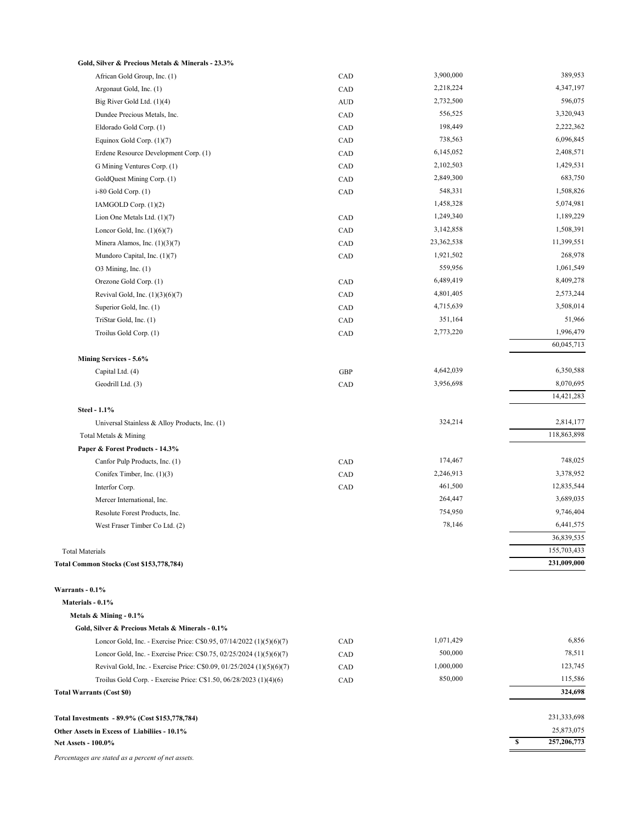| Gold, Silver & Precious Metals & Minerals - 23.3%                     |            |            |                            |
|-----------------------------------------------------------------------|------------|------------|----------------------------|
| African Gold Group, Inc. (1)                                          | CAD        | 3,900,000  | 389,953                    |
| Argonaut Gold, Inc. (1)                                               | CAD        | 2,218,224  | 4,347,197                  |
| Big River Gold Ltd. (1)(4)                                            | <b>AUD</b> | 2,732,500  | 596,075                    |
| Dundee Precious Metals, Inc.                                          | CAD        | 556,525    | 3,320,943                  |
| Eldorado Gold Corp. (1)                                               | CAD        | 198,449    | 2,222,362                  |
| Equinox Gold Corp. $(1)(7)$                                           | CAD        | 738,563    | 6,096,845                  |
| Erdene Resource Development Corp. (1)                                 | CAD        | 6,145,052  | 2,408,571                  |
| G Mining Ventures Corp. (1)                                           | CAD        | 2,102,503  | 1,429,531                  |
| GoldQuest Mining Corp. (1)                                            | CAD        | 2,849,300  | 683,750                    |
| $i-80$ Gold Corp. $(1)$                                               | CAD        | 548,331    | 1,508,826                  |
| IAMGOLD Corp. (1)(2)                                                  |            | 1,458,328  | 5,074,981                  |
| Lion One Metals Ltd. $(1)(7)$                                         | CAD        | 1,249,340  | 1,189,229                  |
| Loncor Gold, Inc. $(1)(6)(7)$                                         | CAD        | 3,142,858  | 1,508,391                  |
| Minera Alamos, Inc. $(1)(3)(7)$                                       | CAD        | 23,362,538 | 11,399,551                 |
| Mundoro Capital, Inc. (1)(7)                                          | CAD        | 1,921,502  | 268,978                    |
| $O3$ Mining, Inc. $(1)$                                               |            | 559,956    | 1,061,549                  |
| Orezone Gold Corp. (1)                                                | CAD        | 6,489,419  | 8,409,278                  |
| Revival Gold, Inc. $(1)(3)(6)(7)$                                     | CAD        | 4,801,405  | 2,573,244                  |
| Superior Gold, Inc. (1)                                               | CAD        | 4,715,639  | 3,508,014                  |
| TriStar Gold, Inc. (1)                                                | CAD        | 351,164    | 51,966                     |
| Troilus Gold Corp. (1)                                                | CAD        | 2,773,220  | 1,996,479                  |
|                                                                       |            |            | 60,045,713                 |
| Mining Services - 5.6%                                                |            |            |                            |
| Capital Ltd. (4)                                                      | <b>GBP</b> | 4,642,039  | 6,350,588                  |
| Geodrill Ltd. (3)                                                     | CAD        | 3,956,698  | 8,070,695                  |
|                                                                       |            |            | 14,421,283                 |
| Steel - 1.1%                                                          |            |            |                            |
| Universal Stainless & Alloy Products, Inc. (1)                        |            | 324,214    | 2,814,177                  |
| Total Metals & Mining                                                 |            |            | 118,863,898                |
| Paper & Forest Products - 14.3%                                       |            |            |                            |
| Canfor Pulp Products, Inc. (1)                                        | CAD        | 174,467    | 748,025                    |
| Conifex Timber, Inc. (1)(3)                                           | CAD        | 2,246,913  | 3,378,952                  |
| Interfor Corp.                                                        | CAD        | 461,500    | 12,835,544                 |
| Mercer International, Inc.                                            |            | 264,447    | 3,689,035                  |
| Resolute Forest Products, Inc.                                        |            | 754,950    | 9,746,404                  |
| West Fraser Timber Co Ltd. (2)                                        |            | 78,146     | 6,441,575                  |
|                                                                       |            |            | 36,839,535                 |
| <b>Total Materials</b>                                                |            |            | 155,703,433<br>231,009,000 |
| Total Common Stocks (Cost \$153,778,784)                              |            |            |                            |
| Warrants - 0.1%                                                       |            |            |                            |
| Materials - 0.1%                                                      |            |            |                            |
| Metals & Mining - 0.1%                                                |            |            |                            |
| Gold, Silver & Precious Metals & Minerals - 0.1%                      |            |            |                            |
| Loncor Gold, Inc. - Exercise Price: C\$0.95, 07/14/2022 (1)(5)(6)(7)  | CAD        | 1,071,429  | 6,856                      |
| Loncor Gold, Inc. - Exercise Price: C\$0.75, 02/25/2024 (1)(5)(6)(7)  | CAD        | 500,000    | 78,511                     |
| Revival Gold, Inc. - Exercise Price: C\$0.09, 01/25/2024 (1)(5)(6)(7) | CAD        | 1,000,000  | 123,745                    |
| Troilus Gold Corp. - Exercise Price: C\$1.50, 06/28/2023 (1)(4)(6)    | CAD        | 850,000    | 115,586                    |
| <b>Total Warrants (Cost \$0)</b>                                      |            |            | 324,698                    |
|                                                                       |            |            |                            |
| Total Investments - 89.9% (Cost \$153,778,784)                        |            |            | 231,333,698                |
| Other Assets in Excess of Liabiliies - 10.1%                          |            |            | 25,873,075                 |
| <b>Net Assets - 100.0%</b>                                            |            |            | 257,206,773<br>\$          |

*Percentages are stated as a percent of net assets.*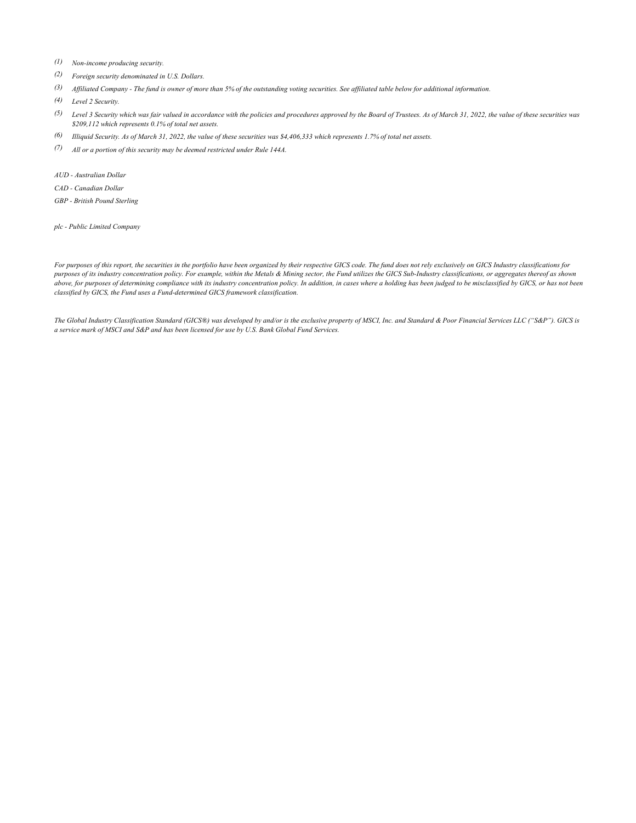- *(1) Non-income producing security.*
- *(2) Foreign security denominated in U.S. Dollars.*
- *(3) Affiliated Company - The fund is owner of more than 5% of the outstanding voting securities. See affiliated table below for additional information.*
- *(4) Level 2 Security.*
- *(5) Level 3 Security which was fair valued in accordance with the policies and procedures approved by the Board of Trustees. As of March 31, 2022, the value of these securities was \$209,112 which represents 0.1% of total net assets.*
- *(6) Illiquid Security. As of March 31, 2022, the value of these securities was \$4,406,333 which represents 1.7% of total net assets.*
- *(7) All or a portion of this security may be deemed restricted under Rule 144A.*
- *AUD Australian Dollar*
- *CAD Canadian Dollar*
- *GBP British Pound Sterling*

*plc - Public Limited Company*

*For purposes of this report, the securities in the portfolio have been organized by their respective GICS code. The fund does not rely exclusively on GICS Industry classifications for purposes of its industry concentration policy. For example, within the Metals & Mining sector, the Fund utilizes the GICS Sub-Industry classifications, or aggregates thereof as shown*  above, for purposes of determining compliance with its industry concentration policy. In addition, in cases where a holding has been judged to be misclassified by GICS, or has not been *classified by GICS, the Fund uses a Fund-determined GICS framework classification.*

*The Global Industry Classification Standard (GICS®) was developed by and/or is the exclusive property of MSCI, Inc. and Standard & Poor Financial Services LLC ("S&P"). GICS is a service mark of MSCI and S&P and has been licensed for use by U.S. Bank Global Fund Services.*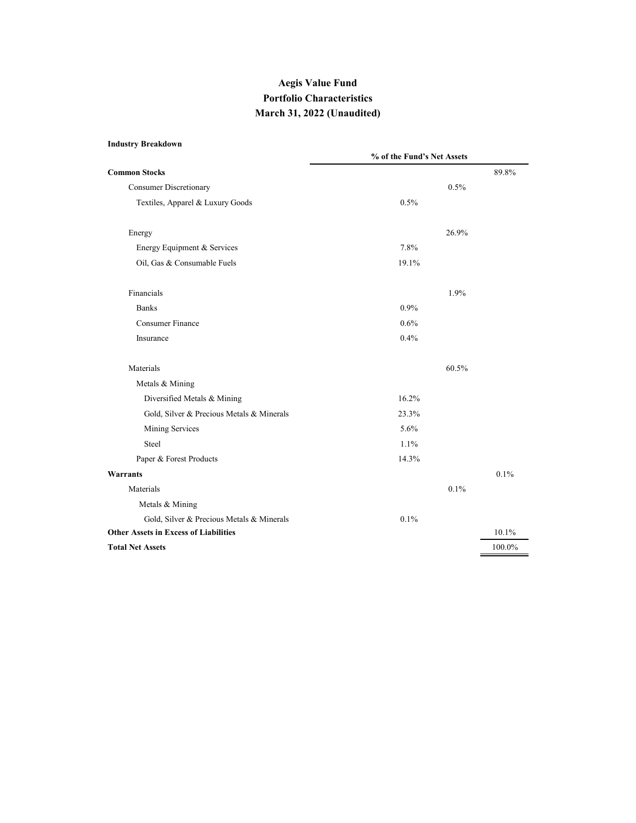# **Aegis Value Fund Portfolio Characteristics March 31, 2022 (Unaudited)**

### **Industry Breakdown**

|                                              |       | % of the Fund's Net Assets |        |  |  |  |
|----------------------------------------------|-------|----------------------------|--------|--|--|--|
| <b>Common Stocks</b>                         |       |                            | 89.8%  |  |  |  |
| <b>Consumer Discretionary</b>                |       | 0.5%                       |        |  |  |  |
| Textiles, Apparel & Luxury Goods             | 0.5%  |                            |        |  |  |  |
| Energy                                       |       | 26.9%                      |        |  |  |  |
| Energy Equipment & Services                  | 7.8%  |                            |        |  |  |  |
| Oil, Gas & Consumable Fuels                  | 19.1% |                            |        |  |  |  |
| Financials                                   |       | 1.9%                       |        |  |  |  |
| <b>Banks</b>                                 | 0.9%  |                            |        |  |  |  |
| <b>Consumer Finance</b>                      | 0.6%  |                            |        |  |  |  |
| Insurance                                    | 0.4%  |                            |        |  |  |  |
| Materials                                    |       | 60.5%                      |        |  |  |  |
| Metals & Mining                              |       |                            |        |  |  |  |
| Diversified Metals & Mining                  | 16.2% |                            |        |  |  |  |
| Gold, Silver & Precious Metals & Minerals    | 23.3% |                            |        |  |  |  |
| Mining Services                              | 5.6%  |                            |        |  |  |  |
| Steel                                        | 1.1%  |                            |        |  |  |  |
| Paper & Forest Products                      | 14.3% |                            |        |  |  |  |
| <b>Warrants</b>                              |       |                            | 0.1%   |  |  |  |
| Materials                                    |       | 0.1%                       |        |  |  |  |
| Metals & Mining                              |       |                            |        |  |  |  |
| Gold, Silver & Precious Metals & Minerals    | 0.1%  |                            |        |  |  |  |
| <b>Other Assets in Excess of Liabilities</b> |       |                            | 10.1%  |  |  |  |
| <b>Total Net Assets</b>                      |       |                            | 100.0% |  |  |  |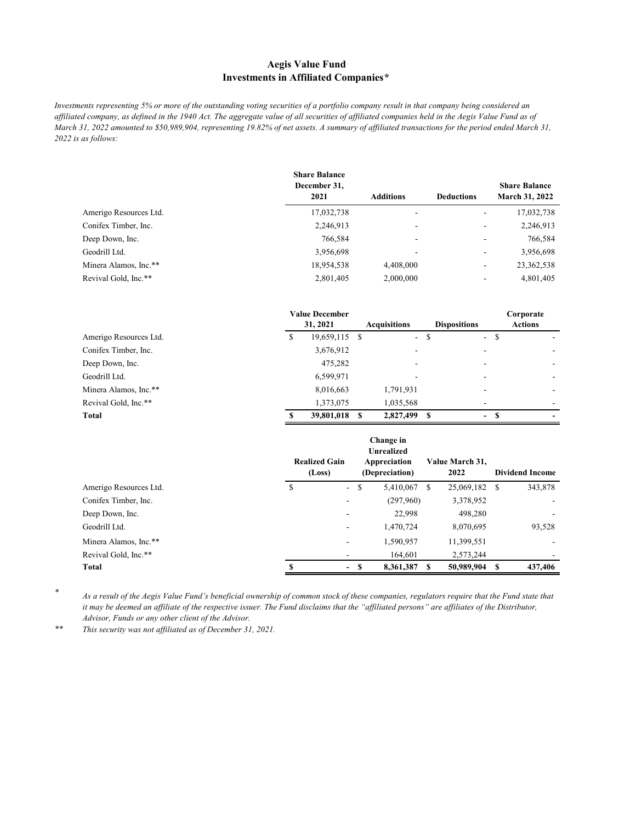## **Aegis Value Fund Investments in Affiliated Companies***\**

*Investments representing 5% or more of the outstanding voting securities of a portfolio company result in that company being considered an affiliated company, as defined in the 1940 Act. The aggregate value of all securities of affiliated companies held in the Aegis Value Fund as of March 31, 2022 amounted to \$50,989,904, representing 19.82% of net assets. A summary of affiliated transactions for the period ended March 31, 2022 is as follows:*

|                        | <b>Share Balance</b><br>December 31,<br>2021 | Additions | <b>Deductions</b> | <b>Share Balance</b><br><b>March 31, 2022</b> |
|------------------------|----------------------------------------------|-----------|-------------------|-----------------------------------------------|
| Amerigo Resources Ltd. | 17,032,738                                   | ۰         |                   | 17,032,738                                    |
| Conifex Timber, Inc.   | 2,246,913                                    | ۰         | ۰                 | 2,246,913                                     |
| Deep Down, Inc.        | 766,584                                      | ۰         |                   | 766,584                                       |
| Geodrill Ltd.          | 3,956,698                                    | ۰         |                   | 3,956,698                                     |
| Minera Alamos, Inc.**  | 18,954,538                                   | 4,408,000 | ۰                 | 23, 362, 538                                  |
| Revival Gold, Inc.**   | 2,801,405                                    | 2,000,000 |                   | 4,801,405                                     |
|                        |                                              |           |                   |                                               |

|                        |   | <b>Value December</b> |      |                     |       |                     | Corporate      |
|------------------------|---|-----------------------|------|---------------------|-------|---------------------|----------------|
|                        |   | 31, 2021              |      | <b>Acquisitions</b> |       | <b>Dispositions</b> | <b>Actions</b> |
| Amerigo Resources Ltd. | S | 19,659,115            | - \$ |                     | $- S$ | $\sim$<br>-S        |                |
| Conifex Timber, Inc.   |   | 3,676,912             |      | ۰                   |       |                     |                |
| Deep Down, Inc.        |   | 475,282               |      | -                   |       |                     |                |
| Geodrill Ltd.          |   | 6,599,971             |      | -                   |       |                     |                |
| Minera Alamos, Inc.**  |   | 8,016,663             |      | 1,791,931           |       |                     |                |
| Revival Gold, Inc.**   |   | 1,373,075             |      | 1,035,568           |       |                     |                |
| <b>Total</b>           | s | 39,801,018            | S.   | 2,827,499           | -S    | $-$ S               |                |

|                        | Change in<br><b>Unrealized</b><br><b>Realized Gain</b><br>Appreciation<br>(Depreciation)<br>(Loss) |   |           |   | Value March 31.<br>2022 | <b>Dividend Income</b> |
|------------------------|----------------------------------------------------------------------------------------------------|---|-----------|---|-------------------------|------------------------|
| Amerigo Resources Ltd. | <sup>\$</sup><br>$\sim$                                                                            | S | 5,410,067 | S | 25,069,182 \$           | 343,878                |
| Conifex Timber, Inc.   | -                                                                                                  |   | (297,960) |   | 3,378,952               |                        |
| Deep Down, Inc.        | -                                                                                                  |   | 22,998    |   | 498,280                 |                        |
| Geodrill Ltd.          | $\overline{\phantom{a}}$                                                                           |   | 1,470,724 |   | 8,070,695               | 93,528                 |
| Minera Alamos, Inc.**  | ٠                                                                                                  |   | 1,590,957 |   | 11,399,551              |                        |
| Revival Gold, Inc.**   |                                                                                                    |   | 164,601   |   | 2,573,244               |                        |
| Total                  | $\overline{\phantom{0}}$                                                                           | S | 8,361,387 |   | 50,989,904              | 437,406                |

*\**

*As a result of the Aegis Value Fund's beneficial ownership of common stock of these companies, regulators require that the Fund state that it may be deemed an affiliate of the respective issuer. The Fund disclaims that the "affiliated persons" are affiliates of the Distributor, Advisor, Funds or any other client of the Advisor.*

*\*\* This security was not affiliated as of December 31, 2021.*